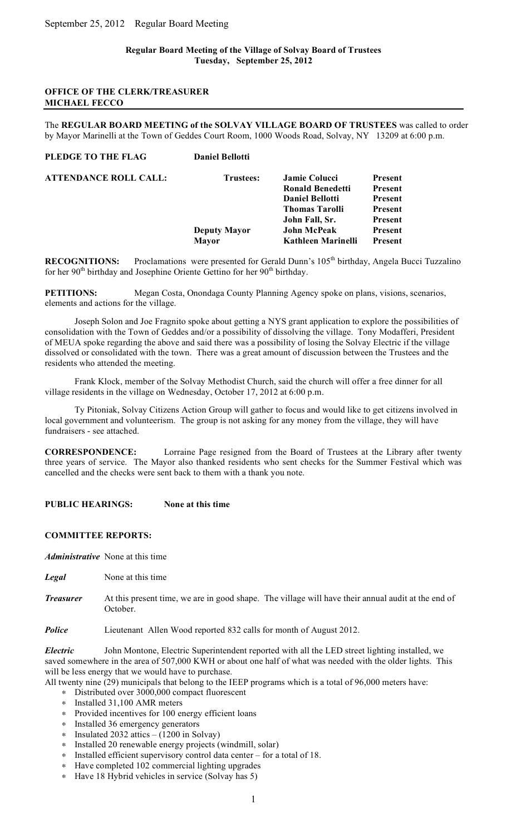# **Regular Board Meeting of the Village of Solvay Board of Trustees Tuesday, September 25, 2012**

## **OFFICE OF THE CLERK/TREASURER MICHAEL FECCO**

The **REGULAR BOARD MEETING of the SOLVAY VILLAGE BOARD OF TRUSTEES** was called to order by Mayor Marinelli at the Town of Geddes Court Room, 1000 Woods Road, Solvay, NY 13209 at 6:00 p.m.

| PLEDGE TO THE FLAG           | <b>Daniel Bellotti</b> |                         |                |
|------------------------------|------------------------|-------------------------|----------------|
| <b>ATTENDANCE ROLL CALL:</b> | <b>Trustees:</b>       | <b>Jamie Colucci</b>    | <b>Present</b> |
|                              |                        | <b>Ronald Benedetti</b> | <b>Present</b> |
|                              |                        | <b>Daniel Bellotti</b>  | <b>Present</b> |
|                              |                        | <b>Thomas Tarolli</b>   | <b>Present</b> |
|                              |                        | John Fall, Sr.          | <b>Present</b> |
|                              | <b>Deputy Mayor</b>    | <b>John McPeak</b>      | <b>Present</b> |
|                              | <b>Mayor</b>           | Kathleen Marinelli      | <b>Present</b> |
|                              |                        |                         |                |

**RECOGNITIONS:** Proclamations were presented for Gerald Dunn's 105<sup>th</sup> birthday, Angela Bucci Tuzzalino for her 90<sup>th</sup> birthday and Josephine Oriente Gettino for her 90<sup>th</sup> birthday.

**PETITIONS:** Megan Costa, Onondaga County Planning Agency spoke on plans, visions, scenarios, elements and actions for the village.

Joseph Solon and Joe Fragnito spoke about getting a NYS grant application to explore the possibilities of consolidation with the Town of Geddes and/or a possibility of dissolving the village. Tony Modafferi, President of MEUA spoke regarding the above and said there was a possibility of losing the Solvay Electric if the village dissolved or consolidated with the town. There was a great amount of discussion between the Trustees and the residents who attended the meeting.

Frank Klock, member of the Solvay Methodist Church, said the church will offer a free dinner for all village residents in the village on Wednesday, October 17, 2012 at 6:00 p.m.

Ty Pitoniak, Solvay Citizens Action Group will gather to focus and would like to get citizens involved in local government and volunteerism. The group is not asking for any money from the village, they will have fundraisers - see attached.

**CORRESPONDENCE:** Lorraine Page resigned from the Board of Trustees at the Library after twenty three years of service. The Mayor also thanked residents who sent checks for the Summer Festival which was cancelled and the checks were sent back to them with a thank you note.

**PUBLIC HEARINGS: None at this time**

# **COMMITTEE REPORTS:**

*Administrative* None at this time

- *Legal* None at this time
- *Treasurer* At this present time, we are in good shape. The village will have their annual audit at the end of October.

*Police* Lieutenant Allen Wood reported 832 calls for month of August 2012.

*Electric* John Montone, Electric Superintendent reported with all the LED street lighting installed, we saved somewhere in the area of 507,000 KWH or about one half of what was needed with the older lights. This will be less energy that we would have to purchase.

All twenty nine (29) municipals that belong to the IEEP programs which is a total of 96,000 meters have:

- ∗ Distributed over 3000,000 compact fluorescent
- ∗ Installed 31,100 AMR meters
- ∗ Provided incentives for 100 energy efficient loans
- ∗ Installed 36 emergency generators
- ∗ Insulated 2032 attics (1200 in Solvay)
- ∗ Installed 20 renewable energy projects (windmill, solar)
- ∗ Installed efficient supervisory control data center for a total of 18.
- ∗ Have completed 102 commercial lighting upgrades
- ∗ Have 18 Hybrid vehicles in service (Solvay has 5)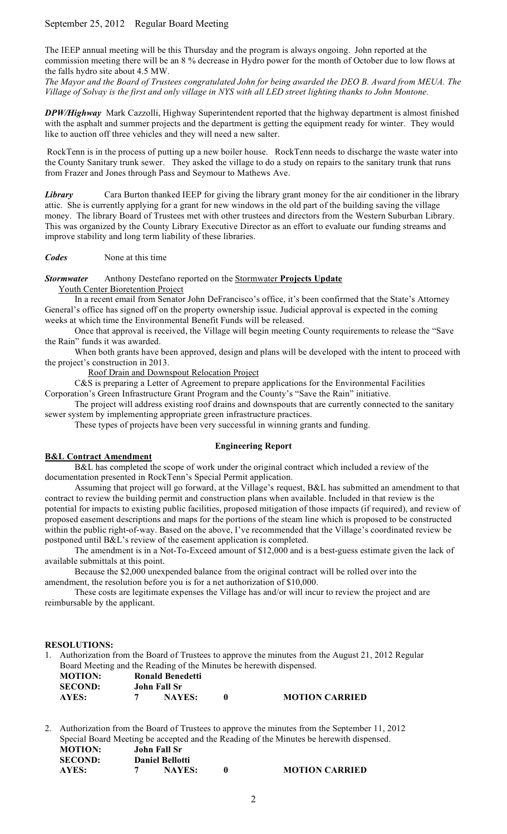# September 25, 2012 Regular Board Meeting

The IEEP annual meeting will be this Thursday and the program is always ongoing. John reported at the commission meeting there will be an 8 % decrease in Hydro power for the month of October due to low flows at the falls hydro site about 4.5 MW.

*The Mayor and the Board of Trustees congratulated John for being awarded the DEO B. Award from MEUA. The Village of Solvay is the first and only village in NYS with all LED street lighting thanks to John Montone.* 

*DPW/Highway* Mark Cazzolli, Highway Superintendent reported that the highway department is almost finished with the asphalt and summer projects and the department is getting the equipment ready for winter. They would like to auction off three vehicles and they will need a new salter.

RockTenn is in the process of putting up a new boiler house. RockTenn needs to discharge the waste water into the County Sanitary trunk sewer. They asked the village to do a study on repairs to the sanitary trunk that runs from Frazer and Jones through Pass and Seymour to Mathews Ave.

*Library* Cara Burton thanked IEEP for giving the library grant money for the air conditioner in the library attic. She is currently applying for a grant for new windows in the old part of the building saving the village money. The library Board of Trustees met with other trustees and directors from the Western Suburban Library. This was organized by the County Library Executive Director as an effort to evaluate our funding streams and improve stability and long term liability of these libraries.

*Codes* None at this time

*Stormwater* Anthony Destefano reported on the Stormwater **Projects Update** 

Youth Center Bioretention Project

In a recent email from Senator John DeFrancisco's office, it's been confirmed that the State's Attorney General's office has signed off on the property ownership issue. Judicial approval is expected in the coming weeks at which time the Environmental Benefit Funds will be released.

Once that approval is received, the Village will begin meeting County requirements to release the "Save the Rain" funds it was awarded.

When both grants have been approved, design and plans will be developed with the intent to proceed with the project's construction in 2013.

Roof Drain and Downspout Relocation Project

C&S is preparing a Letter of Agreement to prepare applications for the Environmental Facilities Corporation's Green Infrastructure Grant Program and the County's "Save the Rain" initiative.

The project will address existing roof drains and downspouts that are currently connected to the sanitary sewer system by implementing appropriate green infrastructure practices.

These types of projects have been very successful in winning grants and funding.

# **Engineering Report**

# **B&L Contract Amendment**

B&L has completed the scope of work under the original contract which included a review of the documentation presented in RockTenn's Special Permit application.

Assuming that project will go forward, at the Village's request, B&L has submitted an amendment to that contract to review the building permit and construction plans when available. Included in that review is the potential for impacts to existing public facilities, proposed mitigation of those impacts (if required), and review of proposed easement descriptions and maps for the portions of the steam line which is proposed to be constructed within the public right-of-way. Based on the above, I've recommended that the Village's coordinated review be postponed until B&L's review of the easement application is completed.

The amendment is in a Not-To-Exceed amount of \$12,000 and is a best-guess estimate given the lack of available submittals at this point.

Because the \$2,000 unexpended balance from the original contract will be rolled over into the amendment, the resolution before you is for a net authorization of \$10,000.

These costs are legitimate expenses the Village has and/or will incur to review the project and are reimbursable by the applicant.

### **RESOLUTIONS:**

1. Authorization from the Board of Trustees to approve the minutes from the August 21, 2012 Regular Board Meeting and the Reading of the Minutes be herewith dispensed.

| <b>MOTION:</b> | <b>Ronald Benedetti</b> |                       |
|----------------|-------------------------|-----------------------|
| <b>SECOND:</b> | John Fall Sr            |                       |
| AYES:          | <b>NAYES:</b>           | <b>MOTION CARRIED</b> |

2. Authorization from the Board of Trustees to approve the minutes from the September 11, 2012 Special Board Meeting be accepted and the Reading of the Minutes be herewith dispensed. **MOTION: John Fall Sr SECOND: Daniel Bellotti**

**AYES: 7 NAYES: 0 MOTION CARRIED**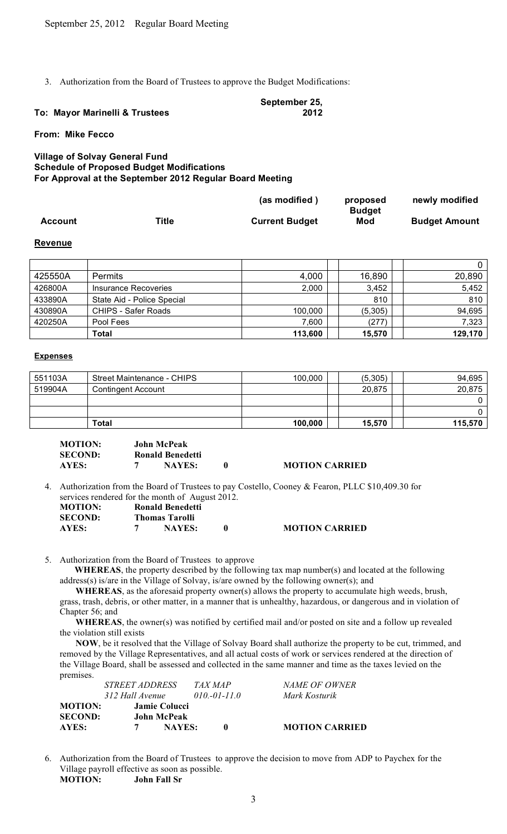3. Authorization from the Board of Trustees to approve the Budget Modifications:

#### **To: Mayor Marinelli & Trustees September 25, 2012**

**From: Mike Fecco**

# **Village of Solvay General Fund Schedule of Proposed Budget Modifications For Approval at the September 2012 Regular Board Meeting**

|                |       | (as modified)         | proposed      | newly modified       |
|----------------|-------|-----------------------|---------------|----------------------|
|                |       |                       | <b>Budget</b> |                      |
| <b>Account</b> | Title | <b>Current Budget</b> | Mod           | <b>Budget Amount</b> |

# **Revenue**

|         |                            |         |         | 0       |
|---------|----------------------------|---------|---------|---------|
| 425550A | <b>Permits</b>             | 4,000   | 16,890  | 20,890  |
| 426800A | Insurance Recoveries       | 2,000   | 3,452   | 5,452   |
| 433890A | State Aid - Police Special |         | 810     | 810     |
| 430890A | CHIPS - Safer Roads        | 100,000 | (5,305) | 94,695  |
| 420250A | Pool Fees                  | 7,600   | (277)   | 7,323   |
|         | Total                      | 113,600 | 15,570  | 129,170 |

### **Expenses**

| 551103A | <b>Street Maintenance - CHIPS</b> | 100,000 | (5,305) | 94,695  |
|---------|-----------------------------------|---------|---------|---------|
| 519904A | Contingent Account                |         | 20,875  | 20,875  |
|         |                                   |         |         |         |
|         |                                   |         |         |         |
|         | Total                             | 100,000 | 15,570  | 115,570 |

| <b>MOTION:</b> | <b>John McPeak</b>      |                       |
|----------------|-------------------------|-----------------------|
| <b>SECOND:</b> | <b>Ronald Benedetti</b> |                       |
| AYES:          | <b>NAYES:</b>           | <b>MOTION CARRIED</b> |

4. Authorization from the Board of Trustees to pay Costello, Cooney & Fearon, PLLC \$10,409.30 for services rendered for the month of August 2012. **MOTION: Ronald Benedetti SECOND: Thomas Tarolli AYES: 7 NAYES: 0 MOTION CARRIED**

5. Authorization from the Board of Trustees to approve

**WHEREAS**, the property described by the following tax map number(s) and located at the following address(s) is/are in the Village of Solvay, is/are owned by the following owner(s); and

 **WHEREAS**, as the aforesaid property owner(s) allows the property to accumulate high weeds, brush, grass, trash, debris, or other matter, in a manner that is unhealthy, hazardous, or dangerous and in violation of Chapter 56; and

 **WHEREAS**, the owner(s) was notified by certified mail and/or posted on site and a follow up revealed the violation still exists

 **NOW**, be it resolved that the Village of Solvay Board shall authorize the property to be cut, trimmed, and removed by the Village Representatives, and all actual costs of work or services rendered at the direction of the Village Board, shall be assessed and collected in the same manner and time as the taxes levied on the premises.

|               |                                                                                 | <i>NAME OF OWNER</i>        |
|---------------|---------------------------------------------------------------------------------|-----------------------------|
|               |                                                                                 | Mark Kosturik               |
|               |                                                                                 |                             |
|               |                                                                                 |                             |
| <b>NAYES:</b> | $\mathbf{0}$                                                                    | <b>MOTION CARRIED</b>       |
|               | <i>STREET ADDRESS</i><br>312 Hall Avenue<br><b>Jamie Colucci</b><br>John McPeak | TAX MAP<br>$010 - 01 - 110$ |

6. Authorization from the Board of Trustees to approve the decision to move from ADP to Paychex for the Village payroll effective as soon as possible. **MOTION: John Fall Sr**